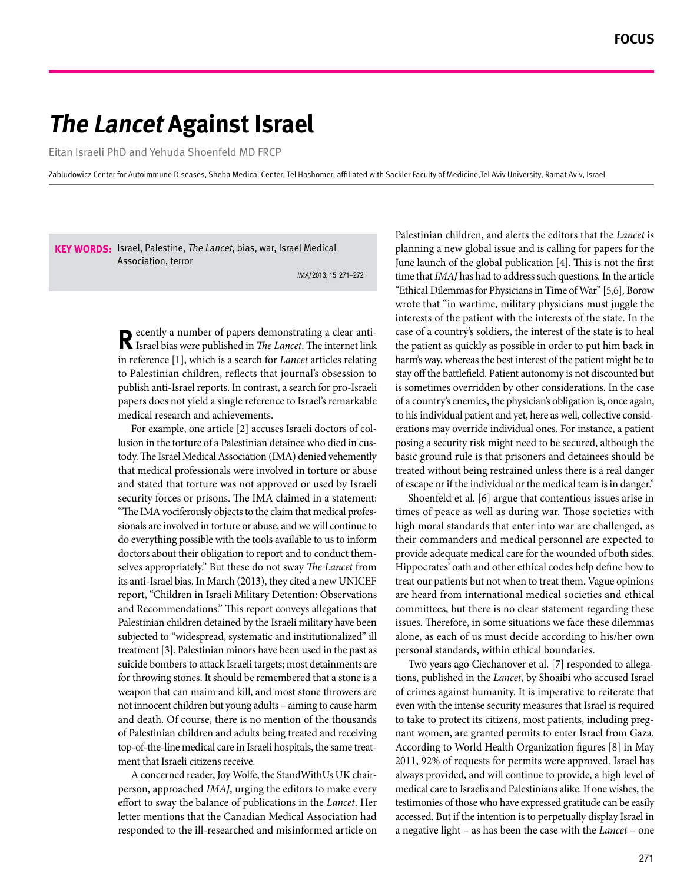# *The Lancet Against Israel*

Eitan Israeli PhD and Yehuda Shoenfeld MD FRCP

Zabludowicz Center for Autoimmune Diseases, Sheba Medical Center, Tel Hashomer, affiliated with Sackler Faculty of Medicine Tel Aviv University, Ramat Aviv, Israel

**KEY WORDS:** Israel, Palestine, *The Lancet*, bias, war, Israel Medical Association, terror

IMAJ 2013; 15: 271-272

**R** ecently a number of papers demonstrating a clear anti-<br>**R** Israel bias were published in *The Lancet*. The internet link in reference [1], which is a search for *Lancet* articles relating to Palestinian children, reflects that journal's obsession to publish anti-Israel reports. In contrast, a search for pro-Israeli papers does not yield a single reference to Israel's remarkable medical research and achievements.

tody. The Israel Medical Association (IMA) denied vehemently lusion in the torture of a Palestinian detainee who died in cus-For example, one article [2] accuses Israeli doctors of colthat medical professionals were involved in torture or abuse and stated that torture was not approved or used by Israeli security forces or prisons. The IMA claimed in a statement: sionals are involved in torture or abuse, and we will continue to "The IMA vociferously objects to the claim that medical profesdo everything possible with the tools available to us to inform selves appropriately." But these do not sway *The Lancet* from doctors about their obligation to report and to conduct themits anti-Israel bias. In March (2013), they cited a new UNICEF report, "Children in Israeli Military Detention: Observations and Recommendations." This report conveys allegations that Palestinian children detained by the Israeli military have been subjected to "widespread, systematic and institutionalized" ill treatment [3]. Palestinian minors have been used in the past as suicide bombers to attack Israeli targets; most detainments are for throwing stones. It should be remembered that a stone is a weapon that can maim and kill, and most stone throwers are not innocent children but young adults – aiming to cause harm and death. Of course, there is no mention of the thousands of Palestinian children and adults being treated and receiving top-of-the-line medical care in Israeli hospitals, the same treat-<br>ment that Israeli citizens receive.

person, approached *IMAJ*, urging the editors to make every A concerned reader, Joy Wolfe, the StandWithUs UK chaireffort to sway the balance of publications in the Lancet. Her letter mentions that the Canadian Medical Association had responded to the ill-researched and misinformed article on

Palestinian children, and alerts the editors that the *Lancet* is planning a new global issue and is calling for papers for the June launch of the global publication [4]. This is not the first time that *IMAJ* has had to address such questions. In the article "Ethical Dilemmas for Physicians in Time of War" [5,6], Borow wrote that "in wartime, military physicians must juggle the interests of the patient with the interests of the state. In the case of a country's soldiers, the interest of the state is to heal the patient as quickly as possible in order to put him back in harm's way, whereas the best interest of the patient might be to stay off the battlefield. Patient autonomy is not discounted but is sometimes overridden by other considerations. In the case of a country's enemies, the physician's obligation is, once again, erations may override individual ones. For instance, a patient to his individual patient and vet, here as well, collective considposing a security risk might need to be secured, although the basic ground rule is that prisoners and detainees should be treated without being restrained unless there is a real danger of escape or if the individual or the medical team is in danger."

Shoenfeld et al. [6] argue that contentious issues arise in times of peace as well as during war. Those societies with high moral standards that enter into war are challenged, as their commanders and medical personnel are expected to provide adequate medical care for the wounded of both sides. Hippocrates' oath and other ethical codes help define how to treat our patients but not when to treat them. Vague opinions are heard from international medical societies and ethical committees, but there is no clear statement regarding these issues. Therefore, in some situations we face these dilemmas alone, as each of us must decide according to his/her own personal standards, within ethical boundaries.

tions, published in the *Lancet*, by Shoaibi who accused Israel Two years ago Ciechanover et al. [7] responded to allegaof crimes against humanity. It is imperative to reiterate that even with the intense security measures that Israel is required nant women, are granted permits to enter Israel from Gaza. to take to protect its citizens, most patients, including preg-According to World Health Organization figures [8] in May 2011, 92% of requests for permits were approved. Israel has always provided, and will continue to provide, a high level of medical care to Israelis and Palestinians alike. If one wishes, the testimonies of those who have expressed gratitude can be easily accessed. But if the intention is to perpetually display Israel in a negative light – as has been the case with the *Lancet* – one